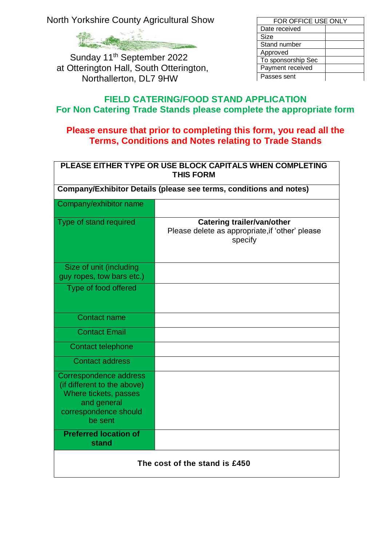North Yorkshire County Agricultural Show



Sunday 11<sup>th</sup> September 2022 at Otterington Hall, South Otterington, Northallerton, DL7 9HW

| FOR OFFICE USE ONLY |  |  |
|---------------------|--|--|
| Date received       |  |  |
| Size                |  |  |
| Stand number        |  |  |
| Approved            |  |  |
| To sponsorship Sec  |  |  |
| Payment received    |  |  |
| Passes sent         |  |  |

## **FIELD CATERING/FOOD STAND APPLICATION For Non Catering Trade Stands please complete the appropriate form**

## **Please ensure that prior to completing this form, you read all the Terms, Conditions and Notes relating to Trade Stands**

| PLEASE EITHER TYPE OR USE BLOCK CAPITALS WHEN COMPLETING<br><b>THIS FORM</b>                                                      |                                                                                                 |  |  |  |
|-----------------------------------------------------------------------------------------------------------------------------------|-------------------------------------------------------------------------------------------------|--|--|--|
| Company/Exhibitor Details (please see terms, conditions and notes)                                                                |                                                                                                 |  |  |  |
| Company/exhibitor name                                                                                                            |                                                                                                 |  |  |  |
| Type of stand required                                                                                                            | <b>Catering trailer/van/other</b><br>Please delete as appropriate, if 'other' please<br>specify |  |  |  |
| Size of unit (including<br>guy ropes, tow bars etc.)                                                                              |                                                                                                 |  |  |  |
| Type of food offered                                                                                                              |                                                                                                 |  |  |  |
| <b>Contact name</b>                                                                                                               |                                                                                                 |  |  |  |
| <b>Contact Email</b>                                                                                                              |                                                                                                 |  |  |  |
| <b>Contact telephone</b>                                                                                                          |                                                                                                 |  |  |  |
| <b>Contact address</b>                                                                                                            |                                                                                                 |  |  |  |
| Correspondence address<br>(if different to the above)<br>Where tickets, passes<br>and general<br>correspondence should<br>be sent |                                                                                                 |  |  |  |
| <b>Preferred location of</b><br><b>stand</b>                                                                                      |                                                                                                 |  |  |  |
| The cost of the stand is £450                                                                                                     |                                                                                                 |  |  |  |